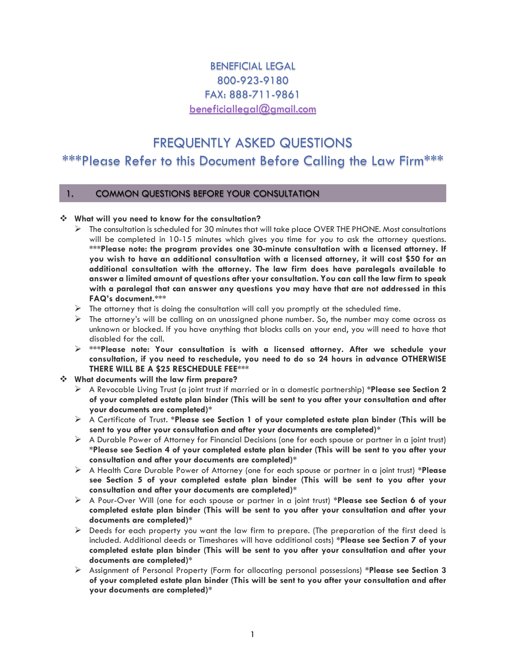# BENEFICIAL LEGAL 800-923-9180 FAX: 888-711-9861 [beneficiallegal@gmail.com](mailto:beneficiallegal@gmail.com)

# FREQUENTLY ASKED QUESTIONS \*\*\*Please Refer to this Document Before Calling the Law Firm\*\*\*

# 1. COMMON QUESTIONS BEFORE YOUR CONSULTATION

## ❖ **What will you need to know for the consultation?**

- ➢ The consultation is scheduled for 30 minutes that will take place OVER THE PHONE. Most consultations will be completed in 10-15 minutes which gives you time for you to ask the attorney questions. **\*\*\*Please note: the program provides one 30-minute consultation with a licensed attorney. If you wish to have an additional consultation with a licensed attorney, it will cost \$50 for an additional consultation with the attorney. The law firm does have paralegals available to answer a limited amount of questions after your consultation. You can call the law firm to speak with a paralegal that can answer any questions you may have that are not addressed in this FAQ's document.\*\*\***
- $\triangleright$  The attorney that is doing the consultation will call you promptly at the scheduled time.
- $\triangleright$  The attorney's will be calling on an unassigned phone number. So, the number may come across as unknown or blocked. If you have anything that blocks calls on your end, you will need to have that disabled for the call.
- ➢ **\*\*\*Please note: Your consultation is with a licensed attorney. After we schedule your consultation, if you need to reschedule, you need to do so 24 hours in advance OTHERWISE THERE WILL BE A \$25 RESCHEDULE FEE\*\*\***

# ❖ **What documents will the law firm prepare?**

- ➢ A Revocable Living Trust (a joint trust if married or in a domestic partnership) **\*Please see Section 2 of your completed estate plan binder (This will be sent to you after your consultation and after your documents are completed)\***
- ➢ A Certificate of Trust. **\*Please see Section 1 of your completed estate plan binder (This will be sent to you after your consultation and after your documents are completed)\***
- ➢ A Durable Power of Attorney for Financial Decisions (one for each spouse or partner in a joint trust) **\*Please see Section 4 of your completed estate plan binder (This will be sent to you after your consultation and after your documents are completed)\***
- ➢ A Health Care Durable Power of Attorney (one for each spouse or partner in a joint trust) **\*Please see Section 5 of your completed estate plan binder (This will be sent to you after your consultation and after your documents are completed)\***
- ➢ A Pour-Over Will (one for each spouse or partner in a joint trust) **\*Please see Section 6 of your completed estate plan binder (This will be sent to you after your consultation and after your documents are completed)\***
- $\triangleright$  Deeds for each property you want the law firm to prepare. (The preparation of the first deed is included. Additional deeds or Timeshares will have additional costs) **\*Please see Section 7 of your completed estate plan binder (This will be sent to you after your consultation and after your documents are completed)\***
- ➢ Assignment of Personal Property (Form for allocating personal possessions) **\*Please see Section 3 of your completed estate plan binder (This will be sent to you after your consultation and after your documents are completed)\***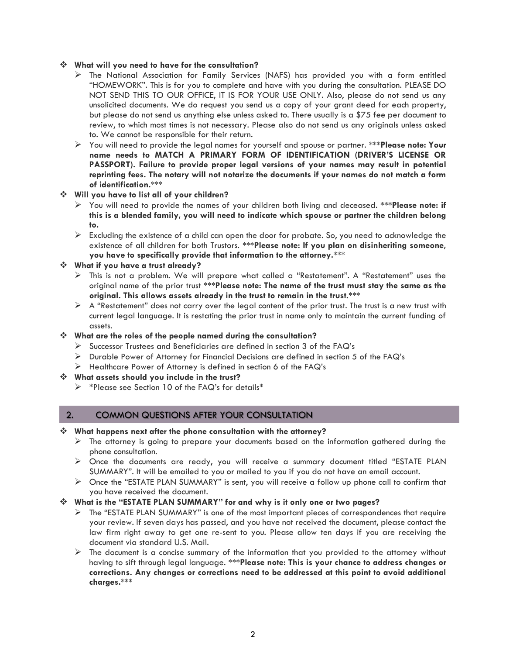#### ❖ **What will you need to have for the consultation?**

- ➢ The National Association for Family Services (NAFS) has provided you with a form entitled "HOMEWORK". This is for you to complete and have with you during the consultation. PLEASE DO NOT SEND THIS TO OUR OFFICE, IT IS FOR YOUR USE ONLY. Also, please do not send us any unsolicited documents. We do request you send us a copy of your grant deed for each property, but please do not send us anything else unless asked to. There usually is a \$75 fee per document to review, to which most times is not necessary. Please also do not send us any originals unless asked to. We cannot be responsible for their return.
- ➢ You will need to provide the legal names for yourself and spouse or partner. **\*\*\*Please note: Your name needs to MATCH A PRIMARY FORM OF IDENTIFICATION (DRIVER'S LICENSE OR PASSPORT). Failure to provide proper legal versions of your names may result in potential reprinting fees. The notary will not notarize the documents if your names do not match a form of identification.\*\*\***
- ❖ **Will you have to list all of your children?**
	- ➢ You will need to provide the names of your children both living and deceased. **\*\*\*Please note: if this is a blended family, you will need to indicate which spouse or partner the children belong to.**
	- $\triangleright$  Excluding the existence of a child can open the door for probate. So, you need to acknowledge the existence of all children for both Trustors. **\*\*\*Please note: If you plan on disinheriting someone, you have to specifically provide that information to the attorney.\*\*\***
- ❖ **What if you have a trust already?** 
	- ➢ This is not a problem. We will prepare what called a "Restatement". A "Restatement" uses the original name of the prior trust **\*\*\*Please note: The name of the trust must stay the same as the original. This allows assets already in the trust to remain in the trust.\*\*\***
	- $\triangleright$  A "Restatement" does not carry over the legal content of the prior trust. The trust is a new trust with current legal language. It is restating the prior trust in name only to maintain the current funding of assets.
- ❖ **What are the roles of the people named during the consultation?**
	- ➢ Successor Trustees and Beneficiaries are defined in section 3 of the FAQ's
	- ➢ Durable Power of Attorney for Financial Decisions are defined in section 5 of the FAQ's
	- $\triangleright$  Healthcare Power of Attorney is defined in section 6 of the FAQ's
- ❖ **What assets should you include in the trust?**
	- ➢ \*Please see Section 10 of the FAQ's for details\*

# 2. COMMON QUESTIONS AFTER YOUR CONSULTATION

#### ❖ **What happens next after the phone consultation with the attorney?**

- $\triangleright$  The attorney is going to prepare your documents based on the information gathered during the phone consultation.
- ➢ Once the documents are ready, you will receive a summary document titled "ESTATE PLAN SUMMARY". It will be emailed to you or mailed to you if you do not have an email account.
- $\triangleright$  Once the "ESTATE PLAN SUMMARY" is sent, you will receive a follow up phone call to confirm that you have received the document.

#### ❖ **What is the "ESTATE PLAN SUMMARY" for and why is it only one or two pages?**

- $\triangleright$  The "ESTATE PLAN SUMMARY" is one of the most important pieces of correspondences that require your review. If seven days has passed, and you have not received the document, please contact the law firm right away to get one re-sent to you. Please allow ten days if you are receiving the document via standard U.S. Mail.
- $\triangleright$  The document is a concise summary of the information that you provided to the attorney without having to sift through legal language. **\*\*\*Please note: This is your chance to address changes or corrections. Any changes or corrections need to be addressed at this point to avoid additional charges.\*\*\***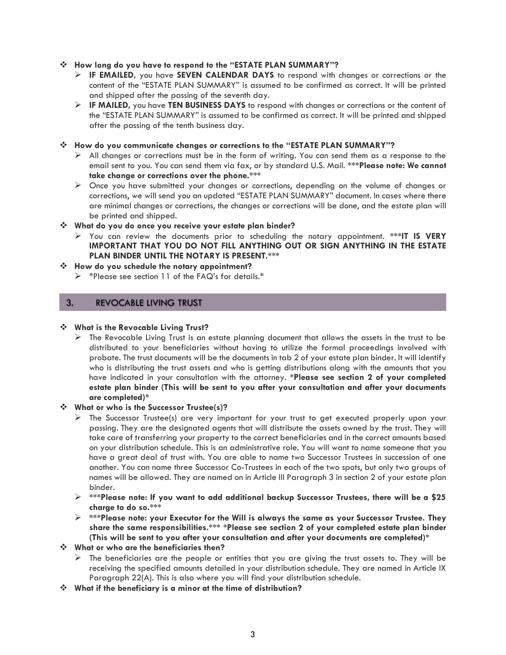#### ❖ **How long do you have to respond to the "ESTATE PLAN SUMMARY"?**

- ➢ **IF EMAILED,** you have **SEVEN CALENDAR DAYS** to respond with changes or corrections or the content of the "ESTATE PLAN SUMMARY" is assumed to be confirmed as correct. It will be printed and shipped after the passing of the seventh day.
- ➢ **IF MAILED,** you have **TEN BUSINESS DAYS** to respond with changes or corrections or the content of the "ESTATE PLAN SUMMARY" is assumed to be confirmed as correct. It will be printed and shipped after the passing of the tenth business day.

#### ❖ **How do you communicate changes or corrections to the "ESTATE PLAN SUMMARY"?**

- $\triangleright$  All changes or corrections must be in the form of writing. You can send them as a response to the email sent to you. You can send them via fax, or by standard U.S. Mail. **\*\*\*Please note: We cannot take change or corrections over the phone.\*\*\***
- ➢ Once you have submitted your changes or corrections, depending on the volume of changes or corrections, we will send you an updated "ESTATE PLAN SUMMARY" document. In cases where there are minimal changes or corrections, the changes or corrections will be done, and the estate plan will be printed and shipped.

#### ❖ **What do you do once you receive your estate plan binder?**

➢ You can review the documents prior to scheduling the notary appointment. **\*\*\*IT IS VERY IMPORTANT THAT YOU DO NOT FILL ANYTHING OUT OR SIGN ANYTHING IN THE ESTATE PLAN BINDER UNTIL THE NOTARY IS PRESENT.\*\*\*** 

#### ❖ **How do you schedule the notary appointment?**

➢ \*Please see section 11 of the FAQ's for details.\*

# 3. REVOCABLE LIVING TRUST

#### ❖ **What is the Revocable Living Trust?**

 $\triangleright$  The Revocable Living Trust is an estate planning document that allows the assets in the trust to be distributed to your beneficiaries without having to utilize the formal proceedings involved with probate. The trust documents will be the documents in tab 2 of your estate plan binder. It will identify who is distributing the trust assets and who is getting distributions along with the amounts that you have indicated in your consultation with the attorney. **\*Please see section 2 of your completed estate plan binder (This will be sent to you after your consultation and after your documents are completed)\***

#### ❖ **What or who is the Successor Trustee(s)?**

- ➢ The Successor Trustee(s) are very important for your trust to get executed properly upon your passing. They are the designated agents that will distribute the assets owned by the trust. They will take care of transferring your property to the correct beneficiaries and in the correct amounts based on your distribution schedule. This is an administrative role. You will want to name someone that you have a great deal of trust with. You are able to name two Successor Trustees in succession of one another. You can name three Successor Co-Trustees in each of the two spots, but only two groups of names will be allowed. They are named on in Article III Paragraph 3 in section 2 of your estate plan binder.
- ➢ **\*\*\*Please note: If you want to add additional backup Successor Trustees, there will be a \$25 charge to do so.\*\*\***
- ➢ **\*\*\*Please note: your Executor for the Will is always the same as your Successor Trustee. They share the same responsibilities.\*\*\* \*Please see section 2 of your completed estate plan binder (This will be sent to you after your consultation and after your documents are completed)\***
- ❖ **What or who are the beneficiaries then?**
	- $\triangleright$  The beneficiaries are the people or entities that you are giving the trust assets to. They will be receiving the specified amounts detailed in your distribution schedule. They are named in Article IX Paragraph 22(A). This is also where you will find your distribution schedule.
- ❖ **What if the beneficiary is a minor at the time of distribution?**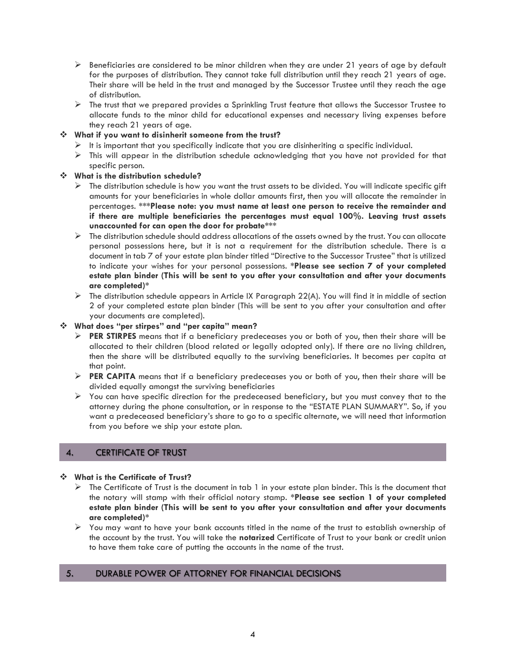- $\triangleright$  Beneficiaries are considered to be minor children when they are under 21 years of age by default for the purposes of distribution. They cannot take full distribution until they reach 21 years of age. Their share will be held in the trust and managed by the Successor Trustee until they reach the age of distribution.
- ➢ The trust that we prepared provides a Sprinkling Trust feature that allows the Successor Trustee to allocate funds to the minor child for educational expenses and necessary living expenses before they reach 21 years of age.

# ❖ **What if you want to disinherit someone from the trust?**

- $\triangleright$  It is important that you specifically indicate that you are disinheriting a specific individual.
- $\triangleright$  This will appear in the distribution schedule acknowledging that you have not provided for that specific person.

## ❖ **What is the distribution schedule?**

- $\triangleright$  The distribution schedule is how you want the trust assets to be divided. You will indicate specific gift amounts for your beneficiaries in whole dollar amounts first, then you will allocate the remainder in percentages. **\*\*\*Please note: you must name at least one person to receive the remainder and if there are multiple beneficiaries the percentages must equal 100%. Leaving trust assets unaccounted for can open the door for probate\*\*\***
- $\triangleright$  The distribution schedule should address allocations of the assets owned by the trust. You can allocate personal possessions here, but it is not a requirement for the distribution schedule. There is a document in tab 7 of your estate plan binder titled "Directive to the Successor Trustee" that is utilized to indicate your wishes for your personal possessions. **\*Please see section 7 of your completed estate plan binder (This will be sent to you after your consultation and after your documents are completed)\***
- $\triangleright$  The distribution schedule appears in Article IX Paragraph 22(A). You will find it in middle of section 2 of your completed estate plan binder (This will be sent to you after your consultation and after your documents are completed).

#### ❖ **What does "per stirpes" and "per capita" mean?**

- ➢ **PER STIRPES** means that if a beneficiary predeceases you or both of you, then their share will be allocated to their children (blood related or legally adopted only). If there are no living children, then the share will be distributed equally to the surviving beneficiaries. It becomes per capita at that point.
- ➢ **PER CAPITA** means that if a beneficiary predeceases you or both of you, then their share will be divided equally amongst the surviving beneficiaries
- $\triangleright$  You can have specific direction for the predeceased beneficiary, but you must convey that to the attorney during the phone consultation, or in response to the "ESTATE PLAN SUMMARY". So, if you want a predeceased beneficiary's share to go to a specific alternate, we will need that information from you before we ship your estate plan.

# 4. CERTIFICATE OF TRUST

## ❖ **What is the Certificate of Trust?**

- $\triangleright$  The Certificate of Trust is the document in tab 1 in your estate plan binder. This is the document that the notary will stamp with their official notary stamp. **\*Please see section 1 of your completed estate plan binder (This will be sent to you after your consultation and after your documents are completed)\***
- ➢ You may want to have your bank accounts titled in the name of the trust to establish ownership of the account by the trust. You will take the **notarized** Certificate of Trust to your bank or credit union to have them take care of putting the accounts in the name of the trust.

# 5. DURABLE POWER OF ATTORNEY FOR FINANCIAL DECISIONS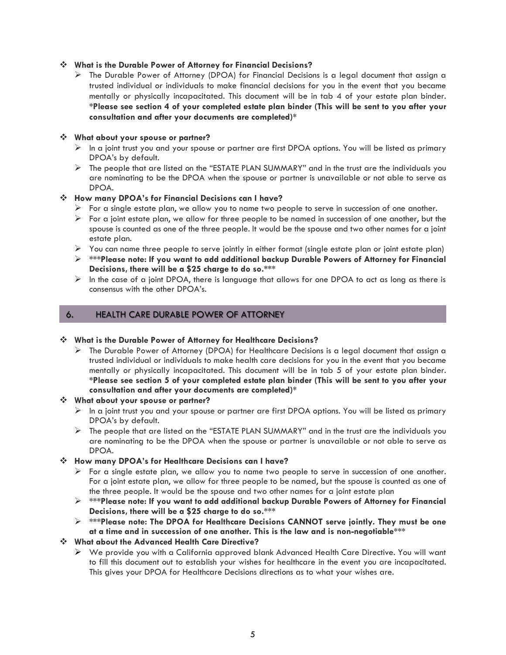#### ❖ **What is the Durable Power of Attorney for Financial Decisions?**

➢ The Durable Power of Attorney (DPOA) for Financial Decisions is a legal document that assign a trusted individual or individuals to make financial decisions for you in the event that you became mentally or physically incapacitated. This document will be in tab 4 of your estate plan binder. **\*Please see section 4 of your completed estate plan binder (This will be sent to you after your consultation and after your documents are completed)\***

#### ❖ **What about your spouse or partner?**

- $\triangleright$  In a joint trust you and your spouse or partner are first DPOA options. You will be listed as primary DPOA's by default.
- $\triangleright$  The people that are listed on the "ESTATE PLAN SUMMARY" and in the trust are the individuals you are nominating to be the DPOA when the spouse or partner is unavailable or not able to serve as DPOA.

# ❖ **How many DPOA's for Financial Decisions can I have?**

- $\triangleright$  For a single estate plan, we allow you to name two people to serve in succession of one another.
- $\triangleright$  For a joint estate plan, we allow for three people to be named in succession of one another, but the spouse is counted as one of the three people. It would be the spouse and two other names for a joint estate plan.
- ➢ You can name three people to serve jointly in either format (single estate plan or joint estate plan)
- ➢ **\*\*\*Please note: If you want to add additional backup Durable Powers of Attorney for Financial Decisions, there will be a \$25 charge to do so.\*\*\***
- $\triangleright$  In the case of a joint DPOA, there is language that allows for one DPOA to act as long as there is consensus with the other DPOA's.

# 6. HEALTH CARE DURABLE POWER OF ATTORNEY

#### ❖ **What is the Durable Power of Attorney for Healthcare Decisions?**

➢ The Durable Power of Attorney (DPOA) for Healthcare Decisions is a legal document that assign a trusted individual or individuals to make health care decisions for you in the event that you became mentally or physically incapacitated. This document will be in tab 5 of your estate plan binder. **\*Please see section 5 of your completed estate plan binder (This will be sent to you after your consultation and after your documents are completed)\***

#### ❖ **What about your spouse or partner?**

- $\triangleright$  In a joint trust you and your spouse or partner are first DPOA options. You will be listed as primary DPOA's by default.
- $\triangleright$  The people that are listed on the "ESTATE PLAN SUMMARY" and in the trust are the individuals you are nominating to be the DPOA when the spouse or partner is unavailable or not able to serve as DPOA.

#### ❖ **How many DPOA's for Healthcare Decisions can I have?**

- $\triangleright$  For a single estate plan, we allow you to name two people to serve in succession of one another. For a joint estate plan, we allow for three people to be named, but the spouse is counted as one of the three people. It would be the spouse and two other names for a joint estate plan
- ➢ **\*\*\*Please note: If you want to add additional backup Durable Powers of Attorney for Financial Decisions, there will be a \$25 charge to do so.\*\*\***
- ➢ **\*\*\*Please note: The DPOA for Healthcare Decisions CANNOT serve jointly. They must be one at a time and in succession of one another. This is the law and is non-negotiable\*\*\***

# ❖ **What about the Advanced Health Care Directive?**

➢ We provide you with a California approved blank Advanced Health Care Directive. You will want to fill this document out to establish your wishes for healthcare in the event you are incapacitated. This gives your DPOA for Healthcare Decisions directions as to what your wishes are.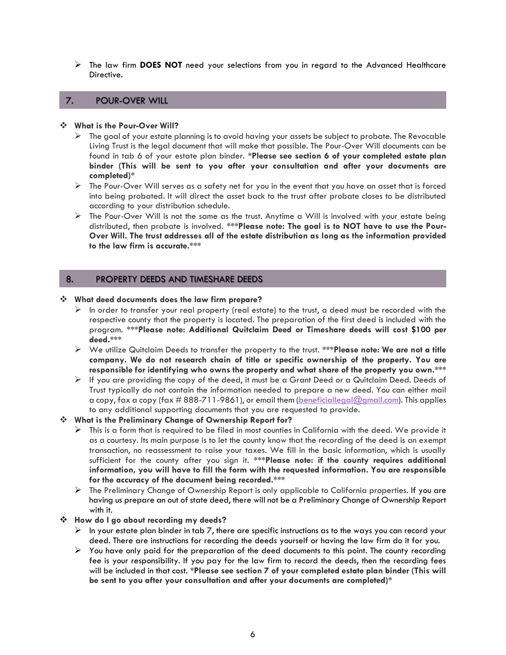➢ The law firm **DOES NOT** need your selections from you in regard to the Advanced Healthcare Directive.

# 7. POUR-OVER WILL

#### ❖ **What is the Pour-Over Will?**

- $\triangleright$  The goal of your estate planning is to avoid having your assets be subject to probate. The Revocable Living Trust is the legal document that will make that possible. The Pour-Over Will documents can be found in tab 6 of your estate plan binder. **\*Please see section 6 of your completed estate plan binder (This will be sent to you after your consultation and after your documents are completed)\***
- ➢ The Pour-Over Will serves as a safety net for you in the event that you have an asset that is forced into being probated. It will direct the asset back to the trust after probate closes to be distributed according to your distribution schedule.
- $\triangleright$  The Pour-Over Will is not the same as the trust. Anytime a Will is involved with your estate being distributed, then probate is involved. **\*\*\*Please note: The goal is to NOT have to use the Pour-Over Will. The trust addresses all of the estate distribution as long as the information provided to the law firm is accurate.\*\*\***

# 8. PROPERTY DEEDS AND TIMESHARE DEEDS

#### ❖ **What deed documents does the law firm prepare?**

- $\triangleright$  In order to transfer your real property (real estate) to the trust, a deed must be recorded with the respective county that the property is located. The preparation of the first deed is included with the program. **\*\*\*Please note: Additional Quitclaim Deed or Timeshare deeds will cost \$100 per deed.\*\*\***
- ➢ We utilize Quitclaim Deeds to transfer the property to the trust. **\*\*\*Please note: We are not a title company. We do not research chain of title or specific ownership of the property. You are responsible for identifying who owns the property and what share of the property you own.\*\*\***
- $\triangleright$  If you are providing the copy of the deed, it must be a Grant Deed or a Quitclaim Deed. Deeds of Trust typically do not contain the information needed to prepare a new deed. You can either mail a copy, fax a copy (fax # 888-711-9861), or email them [\(beneficiallegal@gmail.com\)](mailto:beneficiallegal@gmail.com). This applies to any additional supporting documents that you are requested to provide.

#### ❖ **What is the Preliminary Change of Ownership Report for?**

- $\triangleright$  This is a form that is required to be filed in most counties in California with the deed. We provide it as a courtesy. Its main purpose is to let the county know that the recording of the deed is an exempt transaction, no reassessment to raise your taxes. We fill in the basic information, which is usually sufficient for the county after you sign it. **\*\*\*Please note: if the county requires additional information, you will have to fill the form with the requested information. You are responsible for the accuracy of the document being recorded.\*\*\***
- ➢ The Preliminary Change of Ownership Report is only applicable to California properties. If you are having us prepare an out of state deed, there will not be a Preliminary Change of Ownership Report with it.

#### ❖ **How do I go about recording my deeds?**

- $\triangleright$  In your estate plan binder in tab 7, there are specific instructions as to the ways you can record your deed. There are instructions for recording the deeds yourself or having the law firm do it for you.
- $\triangleright$  You have only paid for the preparation of the deed documents to this point. The county recording fee is your responsibility. If you pay for the law firm to record the deeds, then the recording fees will be included in that cost. **\*Please see section 7 of your completed estate plan binder (This will be sent to you after your consultation and after your documents are completed)\***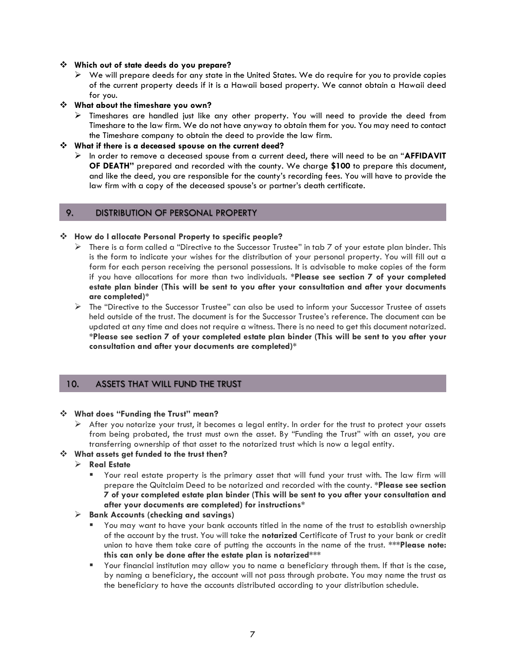#### ❖ **Which out of state deeds do you prepare?**

 $\triangleright$  We will prepare deeds for any state in the United States. We do require for you to provide copies of the current property deeds if it is a Hawaii based property. We cannot obtain a Hawaii deed for you.

#### ❖ **What about the timeshare you own?**

➢ Timeshares are handled just like any other property. You will need to provide the deed from Timeshare to the law firm. We do not have anyway to obtain them for you. You may need to contact the Timeshare company to obtain the deed to provide the law firm.

#### ❖ **What if there is a deceased spouse on the current deed?**

➢ In order to remove a deceased spouse from a current deed, there will need to be an "**AFFIDAVIT OF DEATH"** prepared and recorded with the county. We charge **\$100** to prepare this document, and like the deed, you are responsible for the county's recording fees. You will have to provide the law firm with a copy of the deceased spouse's or partner's death certificate.

#### 9. DISTRIBUTION OF PERSONAL PROPERTY

#### ❖ **How do I allocate Personal Property to specific people?**

- $\triangleright$  There is a form called a "Directive to the Successor Trustee" in tab 7 of your estate plan binder. This is the form to indicate your wishes for the distribution of your personal property. You will fill out a form for each person receiving the personal possessions. It is advisable to make copies of the form if you have allocations for more than two individuals. **\*Please see section 7 of your completed estate plan binder (This will be sent to you after your consultation and after your documents are completed)\***
- ➢ The "Directive to the Successor Trustee" can also be used to inform your Successor Trustee of assets held outside of the trust. The document is for the Successor Trustee's reference. The document can be updated at any time and does not require a witness. There is no need to get this document notarized. **\*Please see section 7 of your completed estate plan binder (This will be sent to you after your consultation and after your documents are completed)\***

#### 10. ASSETS THAT WILL FUND THE TRUST

#### ❖ **What does "Funding the Trust" mean?**

 $\triangleright$  After you notarize your trust, it becomes a legal entity. In order for the trust to protect your assets from being probated, the trust must own the asset. By "Funding the Trust" with an asset, you are transferring ownership of that asset to the notarized trust which is now a legal entity.

#### ❖ **What assets get funded to the trust then?**

- ➢ **Real Estate**
	- Your real estate property is the primary asset that will fund your trust with. The law firm will prepare the Quitclaim Deed to be notarized and recorded with the county. **\*Please see section 7 of your completed estate plan binder (This will be sent to you after your consultation and after your documents are completed) for instructions\***

#### ➢ **Bank Accounts (checking and savings)**

- You may want to have your bank accounts titled in the name of the trust to establish ownership of the account by the trust. You will take the **notarized** Certificate of Trust to your bank or credit union to have them take care of putting the accounts in the name of the trust. **\*\*\*Please note: this can only be done after the estate plan is notarized\*\*\***
- Your financial institution may allow you to name a beneficiary through them. If that is the case, by naming a beneficiary, the account will not pass through probate. You may name the trust as the beneficiary to have the accounts distributed according to your distribution schedule.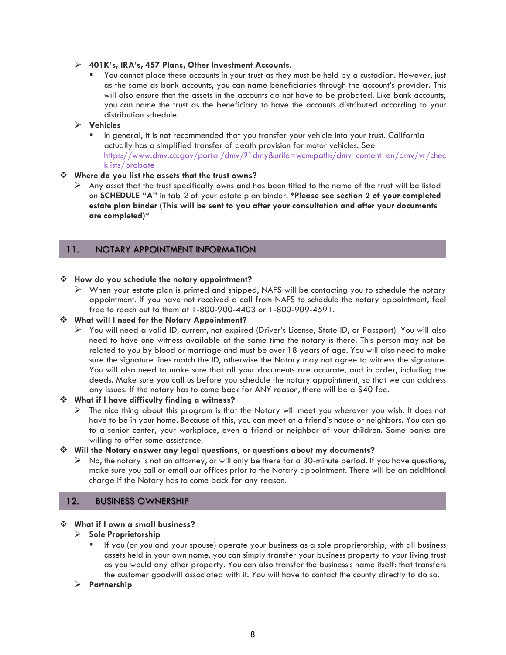#### ➢ **401K's, IRA's, 457 Plans, Other Investment Accounts**.

■ You cannot place these accounts in your trust as they must be held by a custodian. However, just as the same as bank accounts, you can name beneficiaries through the account's provider. This will also ensure that the assets in the accounts do not have to be probated. Like bank accounts, you can name the trust as the beneficiary to have the accounts distributed according to your distribution schedule.

## ➢ **Vehicles**

In general, it is not recommended that you transfer your vehicle into your trust. California actually has a simplified transfer of death provision for motor vehicles. See https://www.dmv.ca.gov/portal/dmv/?1dmy&urile=wcm:path:/dmv\_content\_en/dmv/vr/chec klists/probate

## ❖ **Where do you list the assets that the trust owns?**

 $\triangleright$  Any asset that the trust specifically owns and has been titled to the name of the trust will be listed on **SCHEDULE "A"** in tab 2 of your estate plan binder. **\*Please see section 2 of your completed estate plan binder (This will be sent to you after your consultation and after your documents are completed)\***

# **THE "SCHEDULE "A DOCUMENT INFORMATION" is a document that can updated at any time. The schedule at any time. The schedule at any time. The schedule at any time. The schedule at any time. The schedule at any time of the**

#### ❖ **How do you schedule the notary appointment?**

 $\triangleright$  When your estate plan is printed and shipped, NAFS will be contacting you to schedule the notary appointment. If you have not received a call from NAFS to schedule the notary appointment, feel free to reach out to them at 1-800-900-4403 or 1-800-909-4591.

## ❖ **What will I need for the Notary Appointment?**

➢ You will need a valid ID, current, not expired (Driver's License, State ID, or Passport). You will also need to have one witness available at the same time the notary is there. This person may not be related to you by blood or marriage and must be over 18 years of age. You will also need to make sure the signature lines match the ID, otherwise the Notary may not agree to witness the signature. You will also need to make sure that all your documents are accurate, and in order, including the deeds. Make sure you call us before you schedule the notary appointment, so that we can address any issues. If the notary has to come back for ANY reason, there will be a \$40 fee.

#### ❖ **What if I have difficulty finding a witness?**

 $\triangleright$  The nice thing about this program is that the Notary will meet you wherever you wish. It does not have to be in your home. Because of this, you can meet at a friend's house or neighbors. You can go to a senior center, your workplace, even a friend or neighbor of your children. Some banks are willing to offer some assistance.

#### ❖ **Will the Notary answer any legal questions, or questions about my documents?**

 $\triangleright$  No, the notary is not an attorney, or will only be there for a 30-minute period. If you have questions, make sure you call or email our offices prior to the Notary appointment. There will be an additional charge if the Notary has to come back for any reason.

# 12. BUSINESS OWNERSHIP

#### ❖ **What if I own a small business?**

#### ➢ **Sole Proprietorship**

▪ If you (or you and your spouse) operate your business as a sole proprietorship, with all business assets held in your own name, you can simply transfer your business property to your living trust as you would any other property. You can also transfer the business's name itself: that transfers the customer goodwill associated with it. You will have to contact the county directly to do so.

#### ➢ **Partnership**